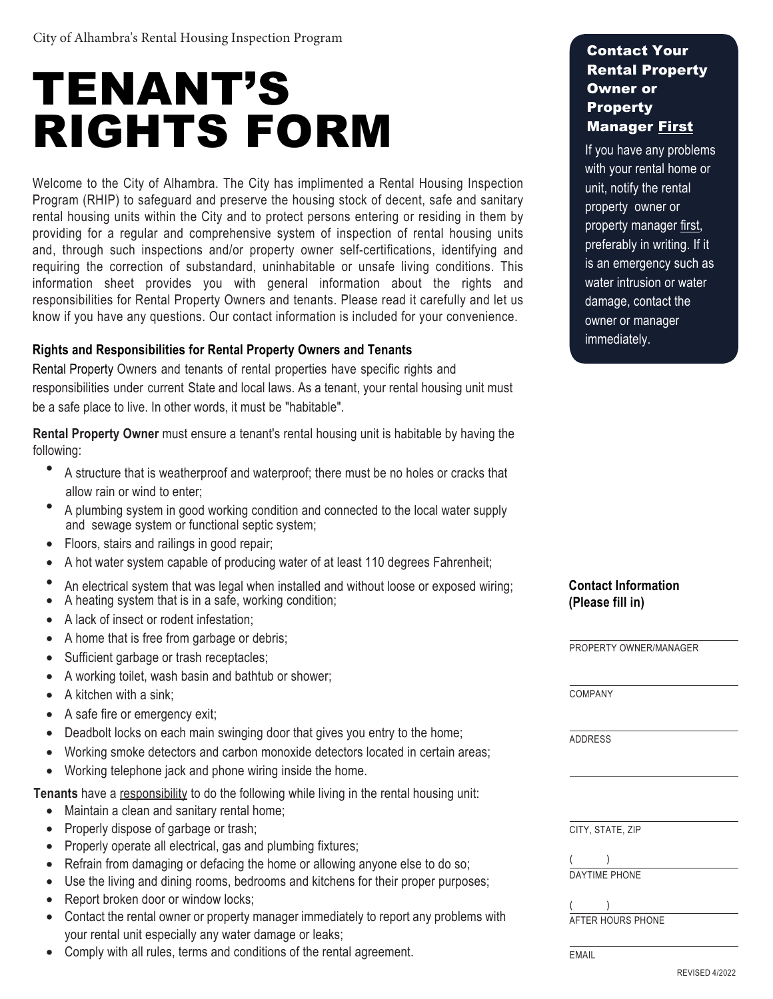# TENANT'S RIGHTS FORM

Welcome to the City of Alhambra. The City has implimented a Rental Housing Inspection Program (RHIP) to safeguard and preserve the housing stock of decent, safe and sanitary rental housing units within the City and to protect persons entering or residing in them by providing for a regular and comprehensive system of inspection of rental housing units and, through such inspections and/or property owner self-certifications, identifying and requiring the correction of substandard, uninhabitable or unsafe living conditions. This information sheet provides you with general information about the rights and responsibilities for Rental Property Owners and tenants. Please read it carefully and let us know if you have any questions. Our contact information is included for your convenience.

## **Rights and Responsibilities for Rental Property Owners and Tenants**

Rental Property Owners and tenants of rental properties have specific rights and responsibilities under current State and local laws. As a tenant, your rental housing unit must be a safe place to live. In other words, it must be "habitable".

**Rental Property Owner** must ensure a tenant's rental housing unit is habitable by having the following:

- A structure that is weatherproof and waterproof; there must be no holes or cracks that allow rain or wind to enter;
- A plumbing system in good working condition and connected to the local water supply and sewage system or functional septic system;
- Floors, stairs and railings in good repair;
- A hot water system capable of producing water of at least 110 degrees Fahrenheit;
- An electrical system that was legal when installed and without loose or exposed wiring;
- A heating system that is in a safe, working condition;
- A lack of insect or rodent infestation;
- A home that is free from garbage or debris;
- Sufficient garbage or trash receptacles;
- A working toilet, wash basin and bathtub or shower;
- A kitchen with a sink:
- A safe fire or emergency exit;
- Deadbolt locks on each main swinging door that gives you entry to the home;
- Working smoke detectors and carbon monoxide detectors located in certain areas;
- Working telephone jack and phone wiring inside the home.

**Tenants** have a responsibility to do the following while living in the rental housing unit:

- Maintain a clean and sanitary rental home;
- Properly dispose of garbage or trash;
- Properly operate all electrical, gas and plumbing fixtures;
- Refrain from damaging or defacing the home or allowing anyone else to do so;
- Use the living and dining rooms, bedrooms and kitchens for their proper purposes;
- Report broken door or window locks;
- Contact the rental owner or property manager immediately to report any problems with your rental unit especially any water damage or leaks;
- Comply with all rules, terms and conditions of the rental agreement.

## Contact Your Rental Property Owner or **Property** Manager First

If you have any problems with your rental home or unit, notify the rental property owner or property manager first, preferably in writing. If it is an emergency such as water intrusion or water damage, contact the owner or manager immediately.

## **Contact Information (Please fill in)**

PROPERTY OWNER/MANAGER

COMPANY

ADDRESS

CITY, STATE, ZIP

( ) DAYTIME PHONE

( )

AFTER HOURS PHONE

EMAIL